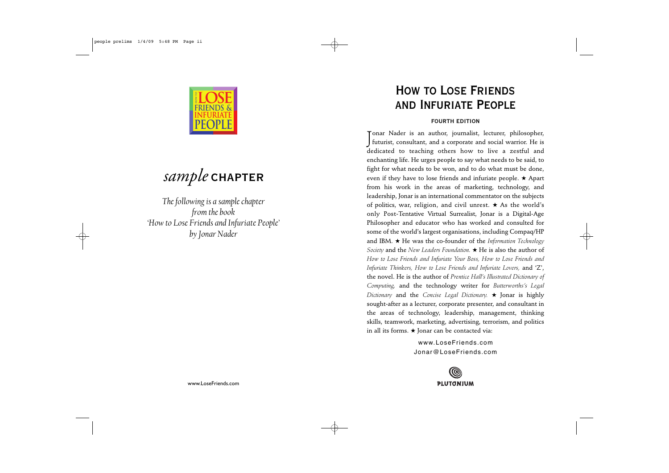

*publication may be reproduced, stored in a retrieval system or on the Web, or transmitted, in any form or by any means, whether digital, electronic, mechanical, photocopying, printing, recording, or otherwise, without prior written permission from the publisher. Please address all requests to sample* chapter

*This book is sold without warranty of any kind, either expressed or implied, in respect to the The following is a sample chapter contents of this book, including but not limited to implied warranties for the book's quality, from the book accuracy, completeness, performance, merchantability, or fitness for any particular purpose. 'How to Lose Friends and Infuriate People' Neither the author, publisher, nor its dealers, distributors, representatives, or agents will be liable to the purchaser or any other person or entity with respect to any liability, loss, or damage caused by Jonar Nader*

# How to Lose Friends and Infuriate People

# FOURTH EDITION

Jonar Nader is an author, journalist, lecturer, philosopher, futurist, consultant, and a corporate and social warrior. He is dedicated to teaching others how to live a zestful and enchanting life. He urges people to say what needs to be said, to fight for what needs to be won, and to do what must be done, even if they have to lose friends and infuriate people. ★ Apart from his work in the areas of marketing, technology, and leadership, Jonar is an international commentator on the subjects of politics, war, religion, and civil unrest. ★ As the world's only Post-Tentative Virtual Surrealist, Jonar is a Digital-Age Philosopher and educator who has worked and consulted for some of the world's largest organisations, including Compaq/HP and IBM. ★ He was the co-founder of the *Information Technology Society* and the *New Leaders Foundation.* ★ He is also the author of *How to Lose Friends and Infuriate Your Boss, How to Lose Friends and Infuriate Thinkers, How to Lose Friends and Infuriate Lovers,* and **'**Z**'**, the novel. He is the author of *Prentice Hall's Illustrated Dictionary of Computing,* and the technology writer for *Butterworths's Legal Dictionary* and the *Concise Legal Dictionary.* ★ Jonar is highly sought-after as a lecturer, corporate presenter, and consultant in the areas of technology, leadership, management, thinking skills, teamwork, marketing, advertising, terrorism, and politics in all its forms. ★ Jonar can be contacted via:

> www.LoseFriends.com Jonar@LoseFriends.com

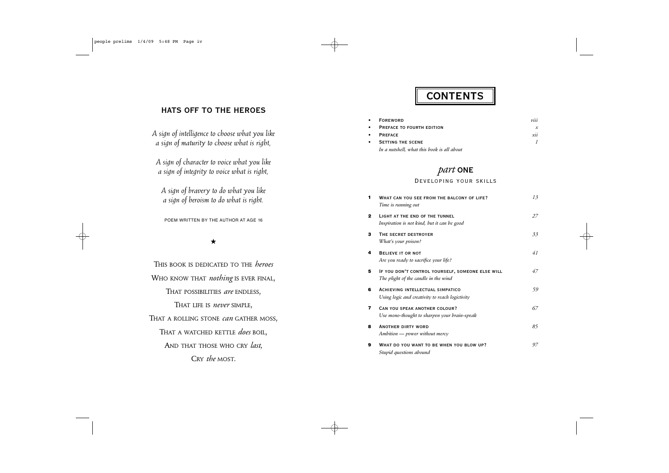# **CONTENTS**

# HATS OFF TO THE HEROES

*A sign of intelligence to choose what you like a sign of maturity to choose what is right, A sign of intelligence to choose what you like a sign of maturity to choose what is right,*

*A sign of character to voice what you like a sign of integrity to voice what is right, A sign of character to voice what you like a sign of integrity to voice what is right,*

*A sign of bravery to do what you like a sign of heroism to do what is right. A sign of bravery to do what you like a sign of heroism to do what is right.*

POEM WRITTEN BY THE AUTHOR AT AGE 16

★

This book is dedicated to the *heroes* Who know that *nothing* is ever final, That possibilities *are* endless, THAT LIFE IS *never* SIMPLE, That a rolling stone *can* gather moss, AND THAT THOSE WHO CRY *last*, THAT <sup>A</sup> WATCHED KETTLE *does* BOIL, CRY *the* MOST. AND THAT THOSE WHO CRY *last*, CRY *the* MOST.

| $\bullet$ | <b>FOREWORD</b>                  | $\cdots$<br>vii |
|-----------|----------------------------------|-----------------|
| $\bullet$ | <b>PREFACE TO FOURTH EDITION</b> | x               |
|           | • PREFACE                        | xii             |
| $\bullet$ | <b>SETTING THE SCENE</b>         |                 |

*In a nutshell, what this book is all about*

# *part* one

# Developing your skills

| 1            | WHAT CAN YOU SEE FROM THE BALCONY OF LIFE?<br>Time is running out                        | 13 |
|--------------|------------------------------------------------------------------------------------------|----|
| $\mathbf{2}$ | LIGHT AT THE END OF THE TUNNEL<br>Inspiration is not kind, but it can be good            | 27 |
| з            | THE SECRET DESTROYER<br>What's your poison?                                              | 33 |
| 4            | <b>BELIEVE IT OR NOT</b><br>Are you ready to sacrifice your life?                        | 41 |
| 5            | IF YOU DON'T CONTROL YOURSELF, SOMEONE ELSE WILL<br>The plight of the candle in the wind | 47 |
| 6            | ACHIEVING INTELLECTUAL SIMPATICO<br>Using logic and creativity to reach logictivity      | 59 |
| 7            | CAN YOU SPEAK ANOTHER COLOUR?<br>Use mono-thought to sharpen your brain-speak            | 67 |
| 8            | <b>ANOTHER DIRTY WORD</b><br>$Ambition$ – power without mercy                            | 85 |
| 9            | WHAT DO YOU WANT TO BE WHEN YOU BLOW UP?<br>Stupid questions abound                      | 97 |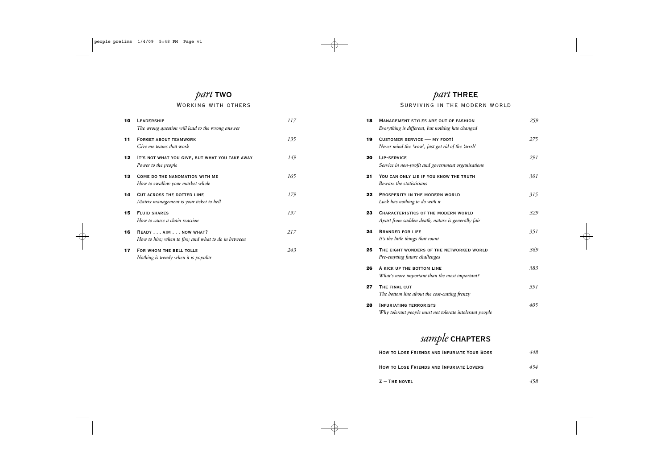# *part* two

# Working with others

| 10 | <b>LEADERSHIP</b>                                    | 117 |
|----|------------------------------------------------------|-----|
|    | The wrong question will lead to the wrong answer     |     |
| 11 | <b>FORGET ABOUT TEAMWORK</b>                         | 135 |
|    | Give me teams that work                              |     |
| 12 | IT'S NOT WHAT YOU GIVE, BUT WHAT YOU TAKE AWAY       | 149 |
|    | Power to the people                                  |     |
| 13 | COME DO THE NANOMATION WITH ME                       | 165 |
|    | How to swallow your market whole                     |     |
| 14 | CUT ACROSS THE DOTTED LINE                           | 179 |
|    | Matrix management is your ticket to hell             |     |
| 15 | <b>FLUID SHARES</b>                                  | 197 |
|    | How to cause a chain reaction                        |     |
| 16 | READY AIM NOW WHAT?                                  | 217 |
|    | How to hire; when to fire; and what to do in between |     |
| 17 | FOR WHOM THE BELL TOLLS                              | 243 |
|    | Nothing is trendy when it is popular                 |     |

# *part* three

# Surviving in the modern world

| 18 | <b>MANAGEMENT STYLES ARE OUT OF FASHION</b><br>Everything is different, but nothing has changed | 259 |
|----|-------------------------------------------------------------------------------------------------|-----|
| 19 | CUSTOMER SERVICE - MY FOOT!<br>Never mind the 'wow', just get rid of the 'arrrh'                | 275 |
| 20 | LIP-SERVICE<br>Service in non-profit and government organisations                               | 291 |
| 21 | YOU CAN ONLY LIE IF YOU KNOW THE TRUTH<br>Beware the statisticians                              | 301 |
| 22 | PROSPERITY IN THE MODERN WORLD<br>Luck has nothing to do with it                                | 315 |
| 23 | <b>CHARACTERISTICS OF THE MODERN WORLD</b><br>Apart from sudden death, nature is generally fair | 329 |
| 24 | <b>BRANDED FOR LIFE</b><br>It's the little things that count                                    | 351 |
| 25 | THE EIGHT WONDERS OF THE NETWORKED WORLD<br>Pre-empting future challenges                       | 369 |
| 26 | A KICK UP THE BOTTOM LINE<br>What's more important than the most important?                     | 383 |
| 27 | THE FINAL CUT<br>The bottom line about the cost-cutting frenzy                                  | 391 |
| 28 | <b>INFURIATING TERRORISTS</b><br>Why tolerant people must not tolerate intolerant people        | 405 |

# *sample* chapters

| <b>HOW TO LOSE FRIENDS AND INFURIATE YOUR BOSS</b> | 448 |
|----------------------------------------------------|-----|
| HOW TO LOSE FRIENDS AND INFURIATE LOVERS           | 454 |
| $Z$ – THE NOVEL                                    | 458 |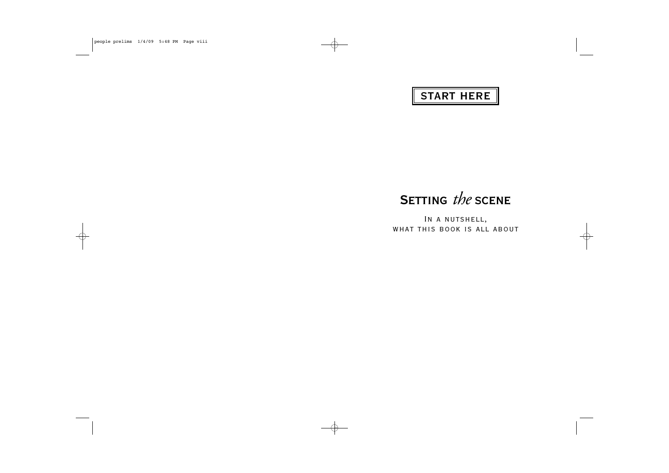# start here

# SETTING *the* SCENE

IN A NUTSHELL, WHAT THIS BOOK IS ALL ABOUT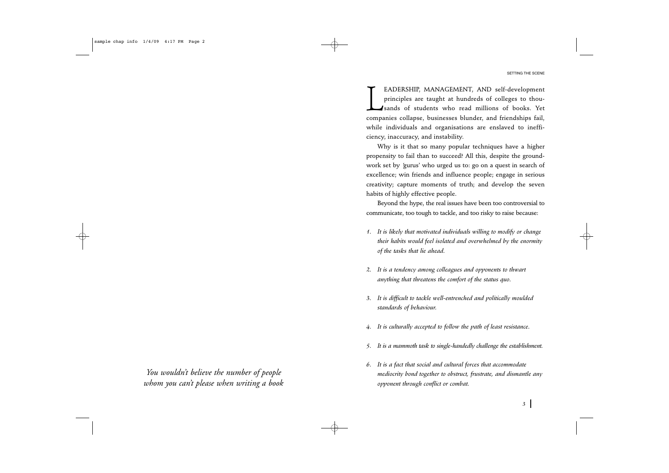EADERSHIP, MANAGEMENT, AND self-development<br>principles are taught at hundreds of colleges to thou-<br>sands of students who read millions of books. Yet companies collapse, businesses blunder, and friendships fail, while individuals and organisations are enslaved to inefficiency, inaccuracy, and instability.

Why is it that so many popular techniques have a higher propensity to fail than to succeed**?** All this, despite the groundwork set by *'*gurus**'** who urged us to: go on a quest in search of excellence; win friends and influence people; engage in serious creativity; capture moments of truth; and develop the seven habits of highly effective people.

Beyond the hype, the real issues have been too controversial to communicate, too tough to tackle, and too risky to raise because:

- *1. It is likely that motivated individuals willing to modify or change their habits would feel isolated and overwhelmed by the enormity of the tasks that lie ahead.*
- *2. It is a tendency among colleagues and opponents to thwart anything that threatens the comfort of the status quo.*
- *3. It is difficult to tackle well-entrenched and politically moulded standards of behaviour.*
- *4. It is culturally accepted to follow the path of least resistance.*
- *5. It is a mammoth task to single-handedly challenge the establishment.*
- *6. It is a fact that social and cultural forces that accommodate mediocrity bond together to obstruct, frustrate, and dismantle any opponent through conflict or combat.*

*You wouldn't believe the number of people whom you can't please when writing a book*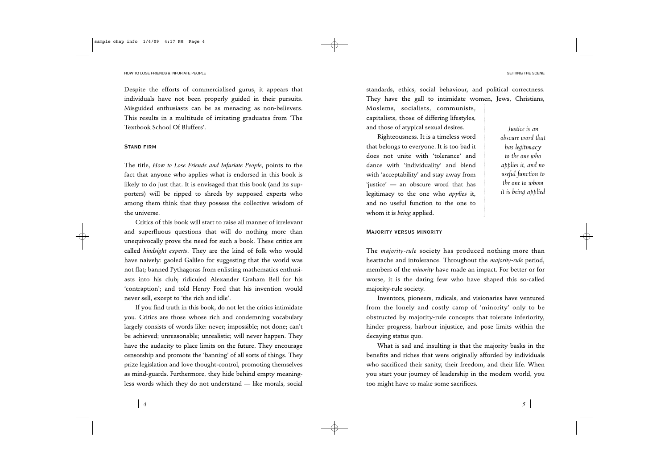Despite the efforts of commercialised gurus, it appears that individuals have not been properly guided in their pursuits. Misguided enthusiasts can be as menacing as non-believers. This results in a multitude of irritating graduates from **'**The Textbook School Of Bluffers**'**.

## Stand firm

The title, *How to Lose Friends and Infuriate People*, points to the fact that anyone who applies what is endorsed in this book is likely to do just that. It is envisaged that this book (and its supporters) will be ripped to shreds by supposed experts who among them think that they possess the collective wisdom of the universe.

Critics of this book will start to raise all manner of irrelevant and superfluous questions that will do nothing more than unequivocally prove the need for such a book. These critics are called *hindsight experts*. They are the kind of folk who would have naively: gaoled Galileo for suggesting that the world was not flat; banned Pythagoras from enlisting mathematics enthusiasts into his club; ridiculed Alexander Graham Bell for his **'**contraption**'**; and told Henry Ford that his invention would never sell, except to **'**the rich and idle**'**.

If you find truth in this book, do not let the critics intimidate you. Critics are those whose rich and condemning vocabulary largely consists of words like: never; impossible; not done; can**'**<sup>t</sup> be achieved; unreasonable; unrealistic; will never happen. They have the audacity to place limits on the future. They encourage censorship and promote the **'**banning**'** of all sorts of things. They prize legislation and love thought-control, promoting themselves as mind-guards. Furthermore, they hide behind empty meaningless words which they do not understand — like morals, social

standards, ethics, social behaviour, and political correctness. They have the gall to intimidate women, Jews, Christians, Moslems, socialists, communists, capitalists, those of differing lifestyles, and those of atypical sexual desires.

Righteousness. It is a timeless word that belongs to everyone. It is too bad it does not unite with **'**tolerance**'** and dance with **'**individuality**'** and blend with **'**acceptability**'** and stay away from **'**justice**'** — an obscure word that has legitimacy to the one who *applies* it, and no useful function to the one to whom it is *being* applied.

*Justice is an obscure word that has legitimacy to the one who applies it, and no useful function to the one to whom it is being applied*

### Majority versus minority

The *majority-rule* society has produced nothing more than heartache and intolerance. Throughout the *majority-rule* period, members of the *minority* have made an impact. For better or for worse, it is the daring few who have shaped this so-called majority-rule society.

Inventors, pioneers, radicals, and visionaries have ventured from the lonely and costly camp of **'**minority**'** only to be obstructed by majority-rule concepts that tolerate inferiority, hinder progress, harbour injustice, and pose limits within the decaying status quo.

What is sad and insulting is that the majority basks in the benefits and riches that were originally afforded by individuals who sacrificed their sanity, their freedom, and their life. When you start your journey of leadership in the modern world, you too might have to make some sacrifices.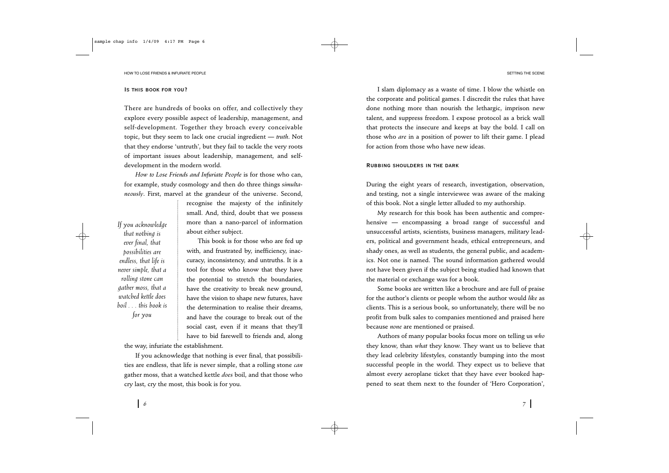### Is this book for you?

There are hundreds of books on offer, and collectively they explore every possible aspect of leadership, management, and self-development. Together they broach every conceivable topic, but they seem to lack one crucial ingredient — *truth*. Not that they endorse **'**untruth**'**, but they fail to tackle the very roots of important issues about leadership, management, and selfdevelopment in the modern world.

*How to Lose Friends and Infuriate People* is for those who can, for example, study cosmology and then do three things *simultaneously*. First, marvel at the grandeur of the universe. Second,

*If you acknowledge that nothing is ever final, that possibilities are endless, that life is never simple, that a rolling stone can gather moss, that a watched kettle does boil . . . this book is for you*

recognise the majesty of the infinitely small. And, third, doubt that we possess more than a nano-parcel of information about either subject.

This book is for those who are fed up with, and frustrated by, inefficiency, inaccuracy, inconsistency, and untruths. It is a tool for those who know that they have the potential to stretch the boundaries, have the creativity to break new ground, have the vision to shape new futures, have the determination to realise their dreams, and have the courage to break out of the social cast, even if it means that they**'**ll have to bid farewell to friends and, along

the way, infuriate the establishment.

If you acknowledge that nothing is ever final, that possibilities are endless, that life is never simple, that a rolling stone *can* gather moss, that a watched kettle *does* boil, and that those who cry last, cry the most, this book is for you.

I slam diplomacy as a waste of time. I blow the whistle on the corporate and political games. I discredit the rules that have done nothing more than nourish the lethargic, imprison new talent, and suppress freedom. I expose protocol as a brick wall that protects the insecure and keeps at bay the bold. I call on those who *are* in a position of power to lift their game. I plead for action from those who have new ideas.

### RUBBING SHOULDERS IN THE DARK

During the eight years of research, investigation, observation, and testing, not a single interviewee was aware of the making of this book. Not a single letter alluded to my authorship.

My research for this book has been authentic and comprehensive — encompassing a broad range of successful and unsuccessful artists, scientists, business managers, military leaders, political and government heads, ethical entrepreneurs, and shady ones, as well as students, the general public, and academics. Not one is named. The sound information gathered would not have been given if the subject being studied had known that the material or exchange was for a book.

Some books are written like a brochure and are full of praise for the author**'**s clients or people whom the author would *like* as clients. This is a serious book, so unfortunately, there will be no profit from bulk sales to companies mentioned and praised here because *none* are mentioned or praised.

Authors of many popular books focus more on telling us *who* they know, than *what* they know. They want us to believe that they lead celebrity lifestyles, constantly bumping into the most successful people in the world. They expect us to believe that almost every aeroplane ticket that they have ever booked happened to seat them next to the founder of **'**Hero Corporation**'**,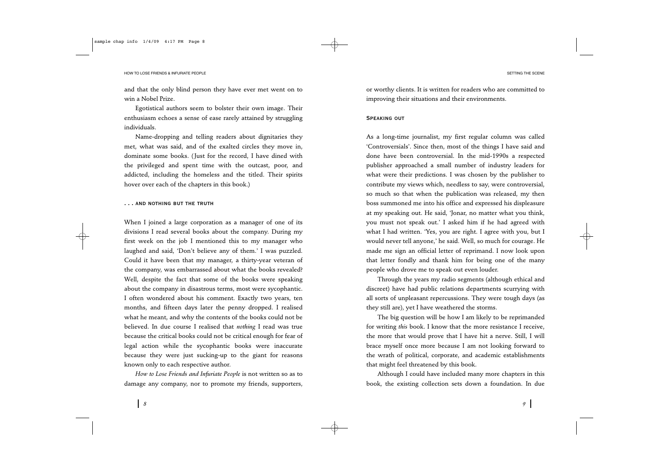and that the only blind person they have ever met went on to win a Nobel Prize.

Egotistical authors seem to bolster their own image. Their enthusiasm echoes a sense of ease rarely attained by struggling individuals.

Name-dropping and telling readers about dignitaries they met, what was said, and of the exalted circles they move in, dominate some books. ( Just for the record, I have dined with the privileged and spent time with the outcast, poor, and addicted, including the homeless and the titled. Their spirits hover over each of the chapters in this book.)

### . . . and nothing but the truth

When I joined a large corporation as a manager of one of its divisions I read several books about the company. During my first week on the job I mentioned this to my manager who laughed and said, **'**Don**'**t believe any of them.**'** I was puzzled. Could it have been that my manager, a thirty-year veteran of the company, was embarrassed about what the books revealed**?** Well, despite the fact that some of the books were speaking about the company in disastrous terms, most were sycophantic. I often wondered about his comment. Exactly two years, ten months, and fifteen days later the penny dropped. I realised what he meant, and why the contents of the books could not be believed. In due course I realised that *nothing* I read was true because the critical books could not be critical enough for fear of legal action while the sycophantic books were inaccurate because they were just sucking-up to the giant for reasons known only to each respective author.

*How to Lose Friends and Infuriate People* is not written so as to damage any company, nor to promote my friends, supporters,

or worthy clients. It is written for readers who are committed to improving their situations and their environments.

## Speaking out

As a long-time journalist, my first regular column was called **'**Controversials**'**. Since then, most of the things I have said and done have been controversial. In the mid-1990s a respected publisher approached a small number of industry leaders for what were their predictions. I was chosen by the publisher to contribute my views which, needless to say, were controversial, so much so that when the publication was released, my then boss summoned me into his office and expressed his displeasure at my speaking out. He said, **'**Jonar, no matter what you think, you must not speak out.**'** I asked him if he had agreed with what I had written. **'**Yes, you are right. I agree with you, but I would never tell anyone,**'** he said. Well, so much for courage. He made me sign an official letter of reprimand. I now look upon that letter fondly and thank him for being one of the many people who drove me to speak out even louder.

Through the years my radio segments (although ethical and discreet) have had public relations departments scurrying with all sorts of unpleasant repercussions. They were tough days (as they still are), yet I have weathered the storms.

The big question will be how I am likely to be reprimanded for writing *this* book. I know that the more resistance I receive, the more that would prove that I have hit a nerve. Still, I will brace myself once more because I am not looking forward to the wrath of political, corporate, and academic establishments that might feel threatened by this book.

Although I could have included many more chapters in this book, the existing collection sets down a foundation. In due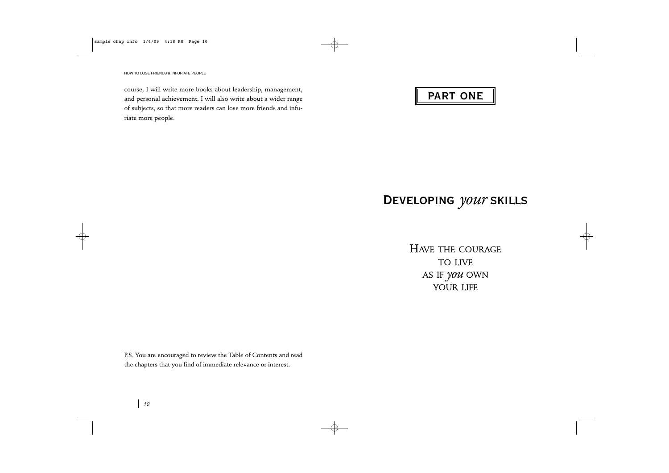HOW TO LOSE FRIENDS & INFURIATE PEOPLE

part ourse, I will write more books about leadership, management, and personal achievement. I will also write about a wider range of subjects, so that more readers can lose more friends and infuriate more people.

# Developing *your* skills

HAVE THE COURAGE TO LIVE AS IF *you* OWN YOUR LIFE

P.S. You are encouraged to review the Table of Contents and read the chapters that you find of immediate relevance or interest.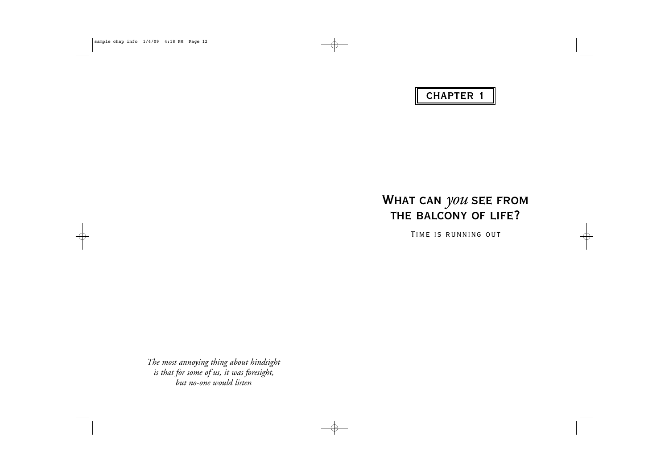**CHAPTER 1** 

# What can *you* see from THE BALCONY OF LIFE?

Time is running out

*The most annoying thing about hindsight is that for some of us, it was foresight, but no-one would listen*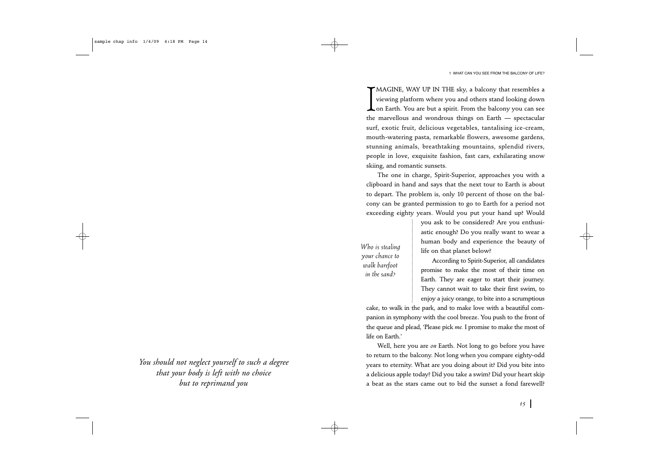MAGINE, WAY UP IN THE sky, a balcony that resembles a viewing platform where you and others stand looking down on Earth. You are but a spirit. From the balcony you can see the marvellous and wondrous things on Earth — spectacular surf, exotic fruit, delicious vegetables, tantalising ice-cream, mouth-watering pasta, remarkable flowers, awesome gardens, stunning animals, breathtaking mountains, splendid rivers, people in love, exquisite fashion, fast cars, exhilarating snow skiing, and romantic sunsets.

The one in charge, Spirit-Superior, approaches you with a clipboard in hand and says that the next tour to Earth is about to depart. The problem is, only 10 percent of those on the balcony can be granted permission to go to Earth for a period not exceeding eighty years. Would you put your hand up**?** Would

*Who is stealing your chance to walk barefoot in the sand?*

you ask to be considered**?** Are you enthusiastic enough**?** Do you really want to wear a human body and experience the beauty of life on that planet below**?**

According to Spirit-Superior, all candidates promise to make the most of their time on Earth. They are eager to start their journey. They cannot wait to take their first swim, to enjoy a juicy orange, to bite into a scrumptious

cake, to walk in the park, and to make love with a beautiful companion in symphony with the cool breeze. You push to the front of the queue and plead, **'**Please pick *me.* I promise to make the most of life on Earth.**'**

Well, here you are *on* Earth. Not long to go before you have to return to the balcony. Not long when you compare eighty-odd years to eternity. What are you doing about it**?** Did you bite into a delicious apple today**?** Did you take a swim**?** Did your heart skip a beat as the stars came out to bid the sunset a fond farewell**?**

*You should not neglect yourself to such a degree that your body is left with no choice but to reprimand you*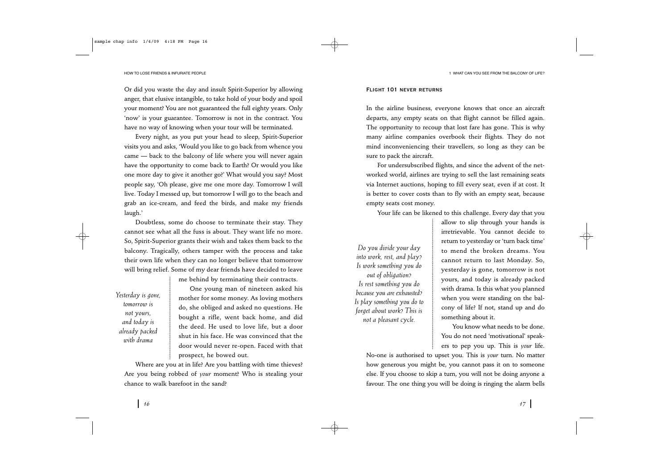Or did you waste the day and insult Spirit-Superior by allowing anger, that elusive intangible, to take hold of your body and spoil your moment**?** You are not guaranteed the full eighty years. Only **'**now**'** is your guarantee. Tomorrow is not in the contract. You have no way of knowing when your tour will be terminated.

Every night, as you put your head to sleep, Spirit-Superior visits you and asks, **'**Would you like to go back from whence you came — back to the balcony of life where you will never again have the opportunity to come back to Earth**?** Or would you like one more day to give it another go**?'** What would you say**?** Most people say, **'**Oh please, give me one more day. Tomorrow I will live. Today I messed up, but tomorrow I will go to the beach and grab an ice-cream, and feed the birds, and make my friends laugh.**'**

Doubtless, some do choose to terminate their stay. They cannot see what all the fuss is about. They want life no more. So, Spirit-Superior grants their wish and takes them back to the balcony. Tragically, others tamper with the process and take their own life when they can no longer believe that tomorrow will bring relief. Some of my dear friends have decided to leave

*Yesterday is gone, tomorrow is not yours, and today is already packed with drama*

me behind by terminating their contracts.

One young man of nineteen asked his mother for some money. As loving mothers do, she obliged and asked no questions. He bought a rifle, went back home, and did the deed. He used to love life, but a door shut in his face. He was convinced that the door would never re-open. Faced with that prospect, he bowed out.

Where are you at in life**?** Are you battling with time thieves**?** Are you being robbed of *your* moment**?** Who is stealing your chance to walk barefoot in the sand**?**

### Flight 101 never returns

In the airline business, everyone knows that once an aircraft departs, any empty seats on that flight cannot be filled again. The opportunity to recoup that lost fare has gone. This is why many airline companies overbook their flights. They do not mind inconveniencing their travellers, so long as they can be sure to pack the aircraft.

For undersubscribed flights, and since the advent of the networked world, airlines are trying to sell the last remaining seats via Internet auctions, hoping to fill every seat, even if at cost. It is better to cover costs than to fly with an empty seat, because empty seats cost money.

Your life can be likened to this challenge. Every day that you

*Do you divide your day into work, rest, and play? Is work something you do out of obligation? Is rest something you do because you are exhausted? Is play something you do to forget about work? This is not a pleasant cycle.*

allow to slip through your hands is irretrievable. You cannot decide to return to yesterday or **'**turn back time**'** to mend the broken dreams. You cannot return to last Monday. So, yesterday is gone, tomorrow is not yours, and today is already packed with drama. Is this what you planned when you were standing on the balcony of life**?** If not, stand up and do something about it.

You know what needs to be done. You do not need **'**motivational**'** speakers to pep you up. This is *your* life.

No-one is authorised to upset you. This is *your* turn. No matter how generous you might be, you cannot pass it on to someone else. If you choose to skip a turn, you will not be doing anyone a favour. The one thing you will be doing is ringing the alarm bells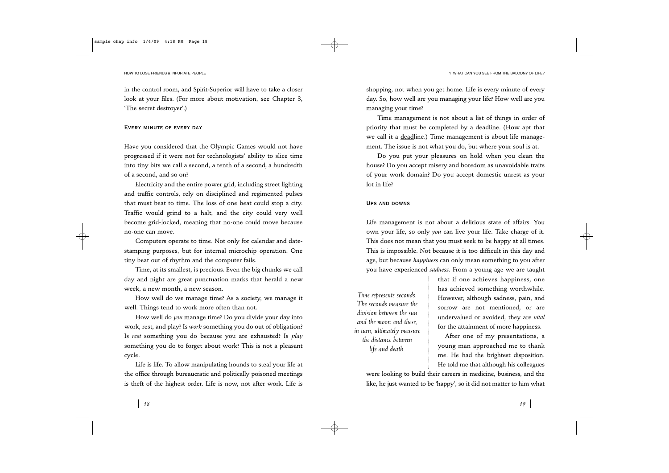in the control room, and Spirit-Superior will have to take a closer look at your files. (For more about motivation, see Chapter 3, **'**The secret destroyer**'**.)

# Every minute of every day

Have you considered that the Olympic Games would not have progressed if it were not for technologists**'** ability to slice time into tiny bits we call a second, a tenth of a second, <sup>a</sup> hundredth of a second, and so on**?**

Electricity and the entire power grid, including street lighting and traffic controls, rely on disciplined and regimented pulses that must beat to time. The loss of one beat could stop a city. Traffic would grind to a halt, and the city could very well become grid-locked, meaning that no-one could move because no-one can move.

Computers operate to time. Not only for calendar and datestamping purposes, but for internal microchip operation. One tiny beat out of rhythm and the computer fails.

Time, at its smallest, is precious. Even the big chunks we call day and night are great punctuation marks that herald a new week, a new month, a new season.

How well do we manage time**?** As a society, we manage it well. Things tend to work more often than not.

How well do *you* manage time**?** Do you divide your day into work, rest, and play**?** Is *work* something you do out of obligation**?** Is *rest* something you do because you are exhausted**?** Is *play* something you do to forget about work**?** This is not a pleasant cycle.

Life is life. To allow manipulating hounds to steal your life at the office through bureaucratic and politically poisoned meetings is theft of the highest order. Life is now, not after work. Life is

shopping, not when you get home. Life is every minute of every day. So, how well are you managing your life**?** How well are you managing your time**?**

Time management is not about a list of things in order of priority that must be completed by a deadline. (How apt that we call it a deadline.) Time management is about life management. The issue is not what you do, but where your soul is at.

Do you put your pleasures on hold when you clean the house**?** Do you accept misery and boredom as unavoidable traits of your work domain**?** Do you accept domestic unrest as your lot in life**?**

# Ups and downs

Life management is not about a delirious state of affairs. You own your life, so only *you* can live your life. Take charge of it. This does not mean that you must seek to be happy at all times. This is impossible. Not because it is too difficult in this day and age, but because *happiness* can only mean something to you after you have experienced *sadness*. From a young age we are taught

*Time represents seconds. The seconds measure the division between the sun and the moon and these, in turn, ultimately measure the distance between life and death.*

that if one achieves happiness, one has achieved something worthwhile. However, although sadness, pain, and sorrow are not mentioned, or are undervalued or avoided, they are *vital* for the attainment of more happiness.

After one of my presentations, a young man approached me to thank me. He had the brightest disposition. He told me that although his colleagues

were looking to build their careers in medicine, business, and the like, he just wanted to be **'**happy**'**, so it did not matter to him what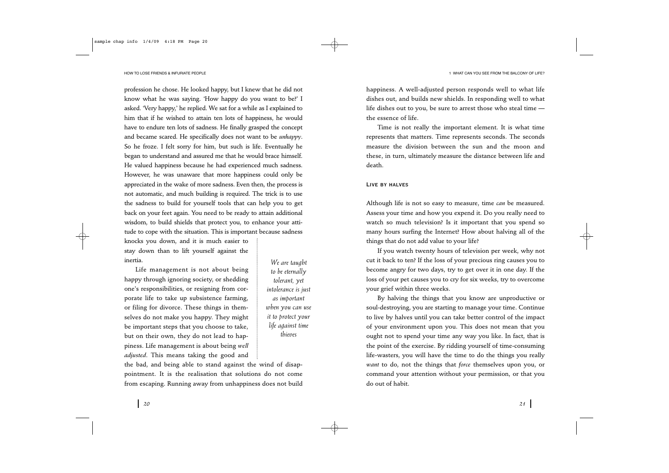profession he chose. He looked happy, but I knew that he did not know what he was saying. **'**How happy do you want to be**?'** I asked. **'**Very happy,**'** he replied. We sat for a while as I explained to him that if he wished to attain ten lots of happiness, he would have to endure ten lots of sadness. He finally grasped the concept and became scared. He specifically does not want to be *unhappy*. So he froze. I felt sorry for him, but such is life. Eventually he began to understand and assured me that he would brace himself. He valued happiness because he had experienced much sadness. However, he was unaware that more happiness could only be appreciated in the wake of more sadness. Even then, the process is not automatic, and much building is required. The trick is to use the sadness to build for yourself tools that can help you to get back on your feet again. You need to be ready to attain additional wisdom, to build shields that protect you, to enhance your attitude to cope with the situation. This is important because sadness

knocks you down, and it is much easier to stay down than to lift yourself against the inertia.

Life management is not about being happy through ignoring society, or shedding one**'**s responsibilities, or resigning from corporate life to take up subsistence farming, or filing for divorce. These things in themselves do not make you happy. They might be important steps that you choose to take, but on their own, they do not lead to happiness. Life management is about being *well adjusted*. This means taking the good and

the bad, and being able to stand against the wind of disappointment. It is the realisation that solutions do not come from escaping. Running away from unhappiness does not build

*We are taught to be eternally tolerant, yet intolerance is just as important when you can use it to protect your life against time thieves*

happiness. A well-adjusted person responds well to what life dishes out, and builds new shields. In responding well to what life dishes out to you, be sure to arrest those who steal time the essence of life.

Time is not really the important element. It is what time represents that matters. Time represents seconds. The seconds measure the division between the sun and the moon and these, in turn, ultimately measure the distance between life and death.

## Live by halves

Although life is not so easy to measure, time *can* be measured. Assess your time and how you expend it. Do you really need to watch so much television**?** Is it important that you spend so many hours surfing the Internet**?** How about halving all of the things that do not add value to your life**?**

If you watch twenty hours of television per week, why not cut it back to ten**?** If the loss of your precious ring causes you to become angry for two days, try to get over it in one day. If the loss of your pet causes you to cry for six weeks, try to overcome your grief within three weeks.

By halving the things that you know are unproductive or soul-destroying, you are starting to manage your time. Continue to live by halves until you can take better control of the impact of your environment upon you. This does not mean that you ought not to spend your time any way you like. In fact, that is the point of the exercise. By ridding yourself of time-consuming life-wasters, you will have the time to do the things you really *want* to do, not the things that *force* themselves upon you, or command your attention without your permission, or that you do out of habit.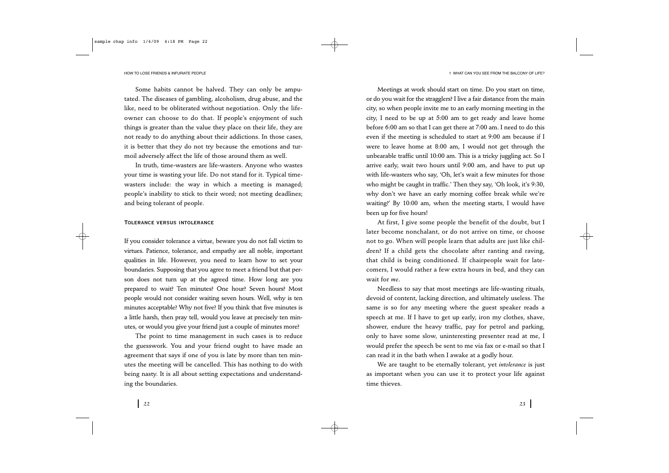Some habits cannot be halved. They can only be amputated. The diseases of gambling, alcoholism, drug abuse, and the like, need to be obliterated without negotiation. Only the lifeowner can choose to do that. If people**'**s enjoyment of such things is greater than the value they place on their life, they are not ready to do anything about their addictions. In those cases, it is better that they do not try because the emotions and turmoil adversely affect the life of those around them as well.

In truth, time-wasters are life-wasters. Anyone who wastes your time is wasting your life. Do not stand for it. Typical timewasters include: the way in which a meeting is managed; people**'**s inability to stick to their word; not meeting deadlines; and being tolerant of people.

### Tolerance versus intolerance

If you consider tolerance a virtue, beware you do not fall victim to virtues. Patience, tolerance, and empathy are all noble, important qualities in life. However, you need to learn how to set your boundaries. Supposing that you agree to meet a friend but that person does not turn up at the agreed time. How long are you prepared to wait**?** Ten minutes**?** One hour**?** Seven hours**?** Most people would not consider waiting seven hours. Well, why is ten minutes acceptable**?** Why not five**?** If you think that five minutes is a little harsh, then pray tell, would you leave at precisely ten minutes, or would you give your friend just a couple of minutes more**?**

The point to time management in such cases is to reduce the guesswork. You and your friend ought to have made an agreement that says if one of you is late by more than ten minutes the meeting will be cancelled. This has nothing to do with being nasty. It is all about setting expectations and understanding the boundaries.

Meetings at work should start on time. Do you start on time, or do you wait for the stragglers**?** I live a fair distance from the main city, so when people invite me to an early morning meeting in the city, I need to be up at 5:00 am to get ready and leave home before 6:00 am so that I can get there at 7:00 am. I need to do this even if the meeting is scheduled to start at 9:00 am because if I were to leave home at 8:00 am, I would not get through the unbearable traffic until 10:00 am. This is a tricky juggling act. So I arrive early, wait two hours until 9:00 am, and have to put up with life-wasters who say, **'**Oh, let**'**s wait a few minutes for those who might be caught in traffic.**'** Then they say, **'**Oh look, it**'**s 9:30, why don**'**t we have an early morning coffee break while we**'**re waiting**?'** By 10:00 am, when the meeting starts, I would have been up for five hours!

At first, I give some people the benefit of the doubt, but I later become nonchalant, or do not arrive on time, or choose not to go. When will people learn that adults are just like children**?** If a child gets the chocolate after ranting and raving, that child is being conditioned. If chairpeople wait for latecomers, I would rather a few extra hours in bed, and they can wait for *me*.

Needless to say that most meetings are life-wasting rituals, devoid of content, lacking direction, and ultimately useless. The same is so for any meeting where the guest speaker reads a speech at me. If I have to get up early, iron my clothes, shave, shower, endure the heavy traffic, pay for petrol and parking, only to have some slow, uninteresting presenter read at me, I would prefer the speech be sent to me via fax or e-mail so that I can read it in the bath when I awake at a godly hour.

We are taught to be eternally tolerant, yet *intolerance* is just as important when you can use it to protect your life against time thieves.